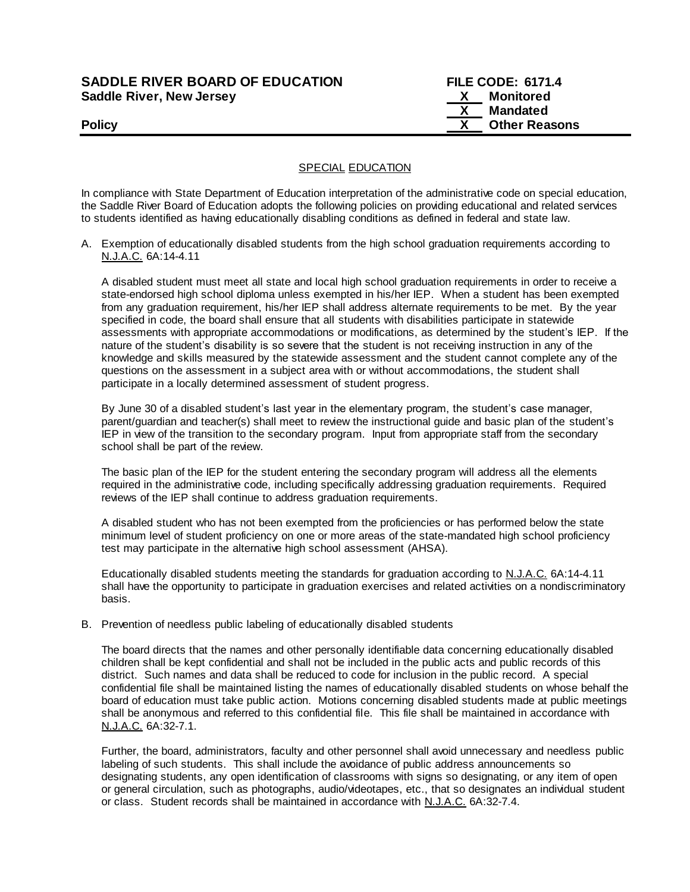# **SADDLE RIVER BOARD OF EDUCATION Saddle River, New Jersey**

| <b>SADDLE RIVER BOARD OF EDUCATION</b> |    | <b>FILE CODE: 6171.4</b> |
|----------------------------------------|----|--------------------------|
| Saddle River, New Jersey               | X. | Monitored                |
|                                        |    | Mandated                 |
| <b>Policy</b>                          |    | <b>Other Reasons</b>     |

## **SPECIAL EDUCATION**

In compliance with State Department of Education interpretation of the administrative code on special education, the Saddle River Board of Education adopts the following policies on providing educational and related services to students identified as having educationally disabling conditions as defined in federal and state law.

A. Exemption of educationally disabled students from the high school graduation requirements according to N.J.A.C. 6A:14-4.11

A disabled student must meet all state and local high school graduation requirements in order to receive a state-endorsed high school diploma unless exempted in his/her IEP. When a student has been exempted from any graduation requirement, his/her IEP shall address alternate requirements to be met. By the year specified in code, the board shall ensure that all students with disabilities participate in statewide assessments with appropriate accommodations or modifications, as determined by the student's IEP. If the nature of the student's disability is so severe that the student is not receiving instruction in any of the knowledge and skills measured by the statewide assessment and the student cannot complete any of the questions on the assessment in a subject area with or without accommodations, the student shall participate in a locally determined assessment of student progress.

By June 30 of a disabled student's last year in the elementary program, the student's case manager, parent/guardian and teacher(s) shall meet to review the instructional guide and basic plan of the student's IEP in view of the transition to the secondary program. Input from appropriate staff from the secondary school shall be part of the review.

The basic plan of the IEP for the student entering the secondary program will address all the elements required in the administrative code, including specifically addressing graduation requirements. Required reviews of the IEP shall continue to address graduation requirements.

A disabled student who has not been exempted from the proficiencies or has performed below the state minimum level of student proficiency on one or more areas of the state-mandated high school proficiency test may participate in the alternative high school assessment (AHSA).

Educationally disabled students meeting the standards for graduation according to N.J.A.C. 6A:14-4.11 shall have the opportunity to participate in graduation exercises and related activities on a nondiscriminatory basis.

## B. Prevention of needless public labeling of educationally disabled students

The board directs that the names and other personally identifiable data concerning educationally disabled children shall be kept confidential and shall not be included in the public acts and public records of this district. Such names and data shall be reduced to code for inclusion in the public record. A special confidential file shall be maintained listing the names of educationally disabled students on whose behalf the board of education must take public action. Motions concerning disabled students made at public meetings shall be anonymous and referred to this confidential file. This file shall be maintained in accordance with N.J.A.C. 6A:32-7.1.

Further, the board, administrators, faculty and other personnel shall avoid unnecessary and needless public labeling of such students. This shall include the avoidance of public address announcements so designating students, any open identification of classrooms with signs so designating, or any item of open or general circulation, such as photographs, audio/videotapes, etc., that so designates an individual student or class. Student records shall be maintained in accordance with N.J.A.C. 6A:32-7.4.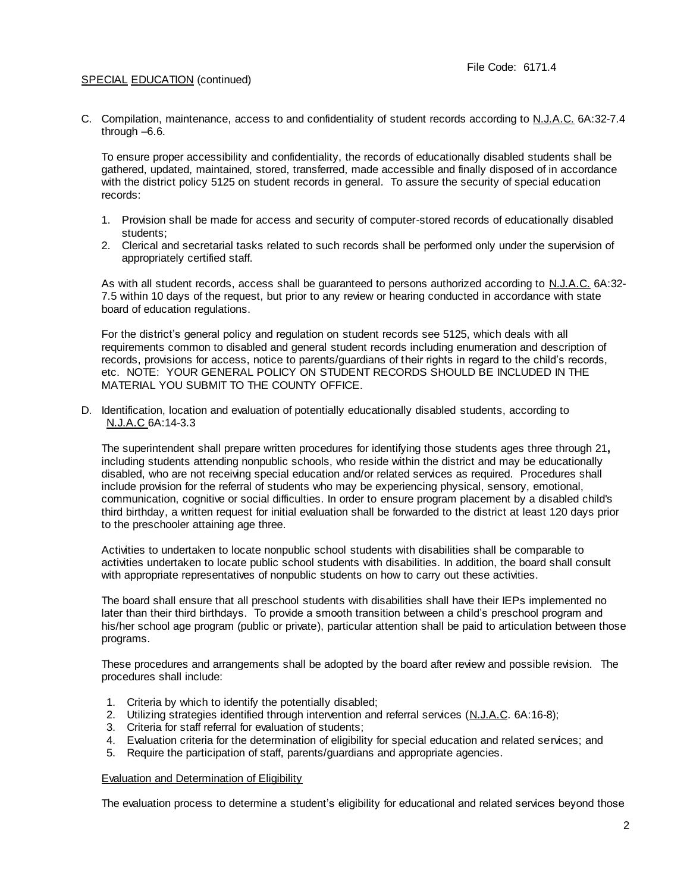C. Compilation, maintenance, access to and confidentiality of student records according to N.J.A.C. 6A:32-7.4 through –6.6.

To ensure proper accessibility and confidentiality, the records of educationally disabled students shall be gathered, updated, maintained, stored, transferred, made accessible and finally disposed of in accordance with the district policy 5125 on student records in general. To assure the security of special education records:

- 1. Provision shall be made for access and security of computer-stored records of educationally disabled students;
- 2. Clerical and secretarial tasks related to such records shall be performed only under the supervision of appropriately certified staff.

As with all student records, access shall be guaranteed to persons authorized according to N.J.A.C. 6A:32-7.5 within 10 days of the request, but prior to any review or hearing conducted in accordance with state board of education regulations.

For the district's general policy and regulation on student records see 5125, which deals with all requirements common to disabled and general student records including enumeration and description of records, provisions for access, notice to parents/guardians of their rights in regard to the child's records, etc. NOTE: YOUR GENERAL POLICY ON STUDENT RECORDS SHOULD BE INCLUDED IN THE MATERIAL YOU SUBMIT TO THE COUNTY OFFICE.

D. Identification, location and evaluation of potentially educationally disabled students, according to N.J.A.C 6A:14-3.3

The superintendent shall prepare written procedures for identifying those students ages three through 21**,**  including students attending nonpublic schools, who reside within the district and may be educationally disabled, who are not receiving special education and/or related services as required. Procedures shall include provision for the referral of students who may be experiencing physical, sensory, emotional, communication, cognitive or social difficulties. In order to ensure program placement by a disabled child's third birthday, a written request for initial evaluation shall be forwarded to the district at least 120 days prior to the preschooler attaining age three.

Activities to undertaken to locate nonpublic school students with disabilities shall be comparable to activities undertaken to locate public school students with disabilities. In addition, the board shall consult with appropriate representatives of nonpublic students on how to carry out these activities.

The board shall ensure that all preschool students with disabilities shall have their IEPs implemented no later than their third birthdays. To provide a smooth transition between a child's preschool program and his/her school age program (public or private), particular attention shall be paid to articulation between those programs.

These procedures and arrangements shall be adopted by the board after review and possible revision. The procedures shall include:

- 1. Criteria by which to identify the potentially disabled;
- 2. Utilizing strategies identified through intervention and referral services (N.J.A.C. 6A:16-8);
- 3. Criteria for staff referral for evaluation of students;
- 4. Evaluation criteria for the determination of eligibility for special education and related services; and
- 5. Require the participation of staff, parents/guardians and appropriate agencies.

#### Evaluation and Determination of Eligibility

The evaluation process to determine a student's eligibility for educational and related services beyond those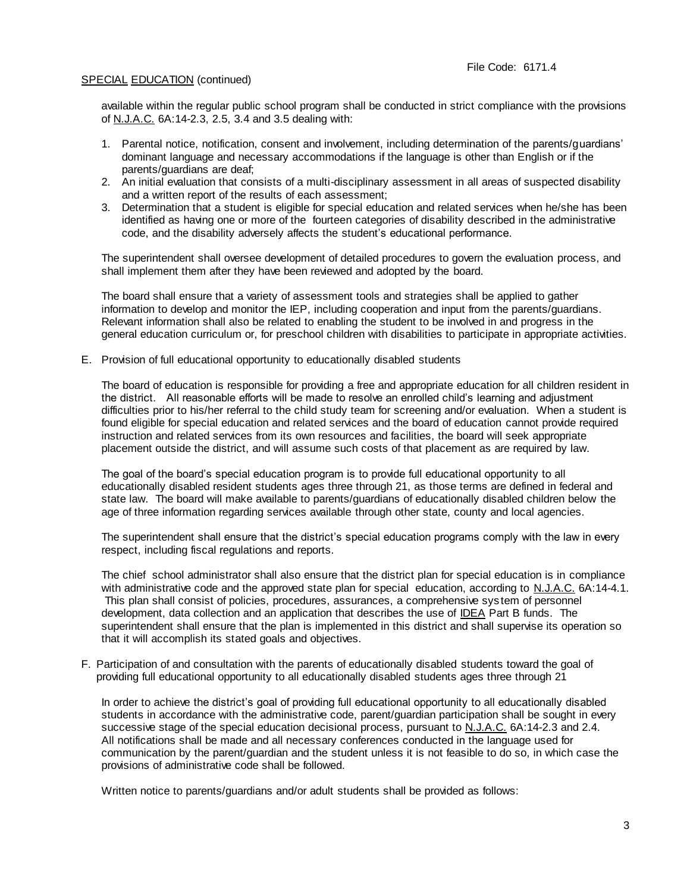available within the regular public school program shall be conducted in strict compliance with the provisions of N.J.A.C. 6A:14-2.3, 2.5, 3.4 and 3.5 dealing with:

- 1. Parental notice, notification, consent and involvement, including determination of the parents/guardians' dominant language and necessary accommodations if the language is other than English or if the parents/guardians are deaf;
- 2. An initial evaluation that consists of a multi-disciplinary assessment in all areas of suspected disability and a written report of the results of each assessment;
- 3. Determination that a student is eligible for special education and related services when he/she has been identified as having one or more of the fourteen categories of disability described in the administrative code, and the disability adversely affects the student's educational performance.

The superintendent shall oversee development of detailed procedures to govern the evaluation process, and shall implement them after they have been reviewed and adopted by the board.

The board shall ensure that a variety of assessment tools and strategies shall be applied to gather information to develop and monitor the IEP, including cooperation and input from the parents/guardians. Relevant information shall also be related to enabling the student to be involved in and progress in the general education curriculum or, for preschool children with disabilities to participate in appropriate activities.

E. Provision of full educational opportunity to educationally disabled students

The board of education is responsible for providing a free and appropriate education for all children resident in the district. All reasonable efforts will be made to resolve an enrolled child's learning and adjustment difficulties prior to his/her referral to the child study team for screening and/or evaluation. When a student is found eligible for special education and related services and the board of education cannot provide required instruction and related services from its own resources and facilities, the board will seek appropriate placement outside the district, and will assume such costs of that placement as are required by law.

The goal of the board's special education program is to provide full educational opportunity to all educationally disabled resident students ages three through 21, as those terms are defined in federal and state law. The board will make available to parents/guardians of educationally disabled children below the age of three information regarding services available through other state, county and local agencies.

The superintendent shall ensure that the district's special education programs comply with the law in every respect, including fiscal regulations and reports.

The chief school administrator shall also ensure that the district plan for special education is in compliance with administrative code and the approved state plan for special education, according to N.J.A.C. 6A:14-4.1. This plan shall consist of policies, procedures, assurances, a comprehensive sys tem of personnel development, data collection and an application that describes the use of IDEA Part B funds. The superintendent shall ensure that the plan is implemented in this district and shall supervise its operation so that it will accomplish its stated goals and objectives.

F. Participation of and consultation with the parents of educationally disabled students toward the goal of providing full educational opportunity to all educationally disabled students ages three through 21

In order to achieve the district's goal of providing full educational opportunity to all educationally disabled students in accordance with the administrative code, parent/guardian participation shall be sought in every successive stage of the special education decisional process, pursuant to N.J.A.C. 6A:14-2.3 and 2.4. All notifications shall be made and all necessary conferences conducted in the language used for communication by the parent/guardian and the student unless it is not feasible to do so, in which case the provisions of administrative code shall be followed.

Written notice to parents/guardians and/or adult students shall be provided as follows: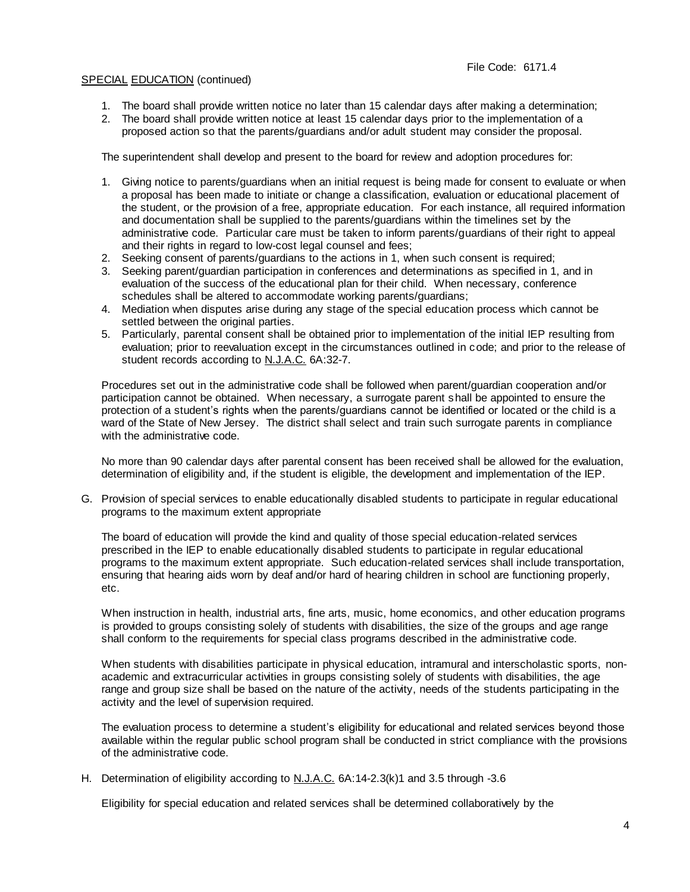- 1. The board shall provide written notice no later than 15 calendar days after making a determination;
- 2. The board shall provide written notice at least 15 calendar days prior to the implementation of a proposed action so that the parents/guardians and/or adult student may consider the proposal.

The superintendent shall develop and present to the board for review and adoption procedures for:

- 1. Giving notice to parents/guardians when an initial request is being made for consent to evaluate or when a proposal has been made to initiate or change a classification, evaluation or educational placement of the student, or the provision of a free, appropriate education. For each instance, all required information and documentation shall be supplied to the parents/guardians within the timelines set by the administrative code. Particular care must be taken to inform parents/guardians of their right to appeal and their rights in regard to low-cost legal counsel and fees;
- 2. Seeking consent of parents/guardians to the actions in 1, when such consent is required;
- 3. Seeking parent/guardian participation in conferences and determinations as specified in 1, and in evaluation of the success of the educational plan for their child. When necessary, conference schedules shall be altered to accommodate working parents/guardians;
- 4. Mediation when disputes arise during any stage of the special education process which cannot be settled between the original parties.
- 5. Particularly, parental consent shall be obtained prior to implementation of the initial IEP resulting from evaluation; prior to reevaluation except in the circumstances outlined in code; and prior to the release of student records according to N.J.A.C. 6A:32-7.

Procedures set out in the administrative code shall be followed when parent/guardian cooperation and/or participation cannot be obtained. When necessary, a surrogate parent shall be appointed to ensure the protection of a student's rights when the parents/guardians cannot be identified or located or the child is a ward of the State of New Jersey. The district shall select and train such surrogate parents in compliance with the administrative code.

No more than 90 calendar days after parental consent has been received shall be allowed for the evaluation, determination of eligibility and, if the student is eligible, the development and implementation of the IEP.

G. Provision of special services to enable educationally disabled students to participate in regular educational programs to the maximum extent appropriate

The board of education will provide the kind and quality of those special education-related services prescribed in the IEP to enable educationally disabled students to participate in regular educational programs to the maximum extent appropriate. Such education-related services shall include transportation, ensuring that hearing aids worn by deaf and/or hard of hearing children in school are functioning properly, etc.

When instruction in health, industrial arts, fine arts, music, home economics, and other education programs is provided to groups consisting solely of students with disabilities, the size of the groups and age range shall conform to the requirements for special class programs described in the administrative code.

When students with disabilities participate in physical education, intramural and interscholastic sports, nonacademic and extracurricular activities in groups consisting solely of students with disabilities, the age range and group size shall be based on the nature of the activity, needs of the students participating in the activity and the level of supervision required.

The evaluation process to determine a student's eligibility for educational and related services beyond those available within the regular public school program shall be conducted in strict compliance with the provisions of the administrative code.

H. Determination of eligibility according to N.J.A.C. 6A:14-2.3(k)1 and 3.5 through -3.6

Eligibility for special education and related services shall be determined collaboratively by the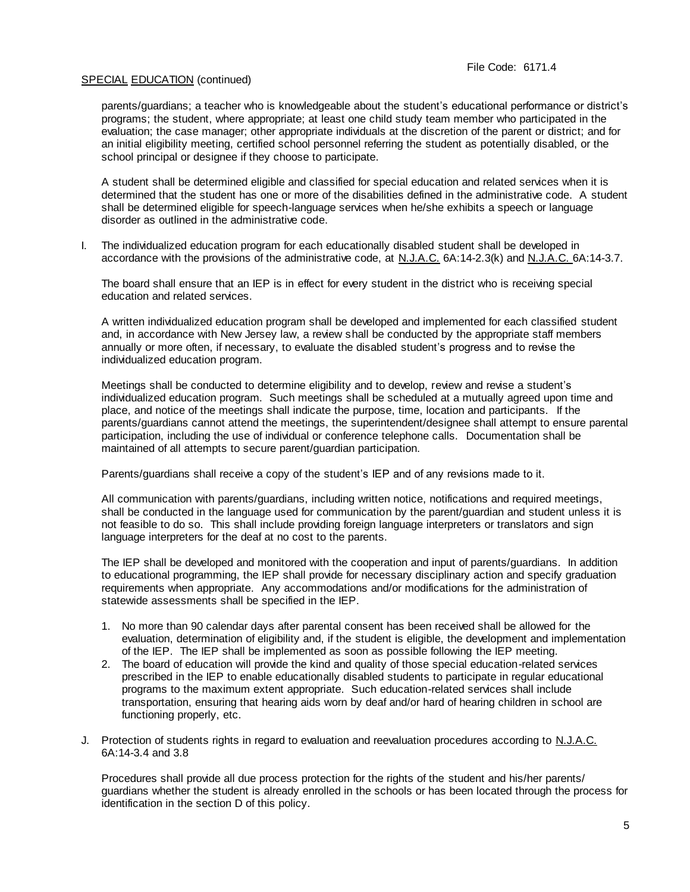parents/guardians; a teacher who is knowledgeable about the student's educational performance or district's programs; the student, where appropriate; at least one child study team member who participated in the evaluation; the case manager; other appropriate individuals at the discretion of the parent or district; and for an initial eligibility meeting, certified school personnel referring the student as potentially disabled, or the school principal or designee if they choose to participate.

A student shall be determined eligible and classified for special education and related services when it is determined that the student has one or more of the disabilities defined in the administrative code. A student shall be determined eligible for speech-language services when he/she exhibits a speech or language disorder as outlined in the administrative code.

I. The individualized education program for each educationally disabled student shall be developed in accordance with the provisions of the administrative code, at N.J.A.C. 6A:14-2.3(k) and N.J.A.C. 6A:14-3.7.

The board shall ensure that an IEP is in effect for every student in the district who is receiving special education and related services.

A written individualized education program shall be developed and implemented for each classified student and, in accordance with New Jersey law, a review shall be conducted by the appropriate staff members annually or more often, if necessary, to evaluate the disabled student's progress and to revise the individualized education program.

Meetings shall be conducted to determine eligibility and to develop, review and revise a student's individualized education program. Such meetings shall be scheduled at a mutually agreed upon time and place, and notice of the meetings shall indicate the purpose, time, location and participants. If the parents/guardians cannot attend the meetings, the superintendent/designee shall attempt to ensure parental participation, including the use of individual or conference telephone calls. Documentation shall be maintained of all attempts to secure parent/guardian participation.

Parents/guardians shall receive a copy of the student's IEP and of any revisions made to it.

All communication with parents/guardians, including written notice, notifications and required meetings, shall be conducted in the language used for communication by the parent/guardian and student unless it is not feasible to do so. This shall include providing foreign language interpreters or translators and sign language interpreters for the deaf at no cost to the parents.

The IEP shall be developed and monitored with the cooperation and input of parents/guardians. In addition to educational programming, the IEP shall provide for necessary disciplinary action and specify graduation requirements when appropriate. Any accommodations and/or modifications for the administration of statewide assessments shall be specified in the IEP.

- 1. No more than 90 calendar days after parental consent has been received shall be allowed for the evaluation, determination of eligibility and, if the student is eligible, the development and implementation of the IEP. The IEP shall be implemented as soon as possible following the IEP meeting.
- 2. The board of education will provide the kind and quality of those special education-related services prescribed in the IEP to enable educationally disabled students to participate in regular educational programs to the maximum extent appropriate. Such education-related services shall include transportation, ensuring that hearing aids worn by deaf and/or hard of hearing children in school are functioning properly, etc.
- J. Protection of students rights in regard to evaluation and reevaluation procedures according to N.J.A.C. 6A:14-3.4 and 3.8

Procedures shall provide all due process protection for the rights of the student and his/her parents/ guardians whether the student is already enrolled in the schools or has been located through the process for identification in the section D of this policy.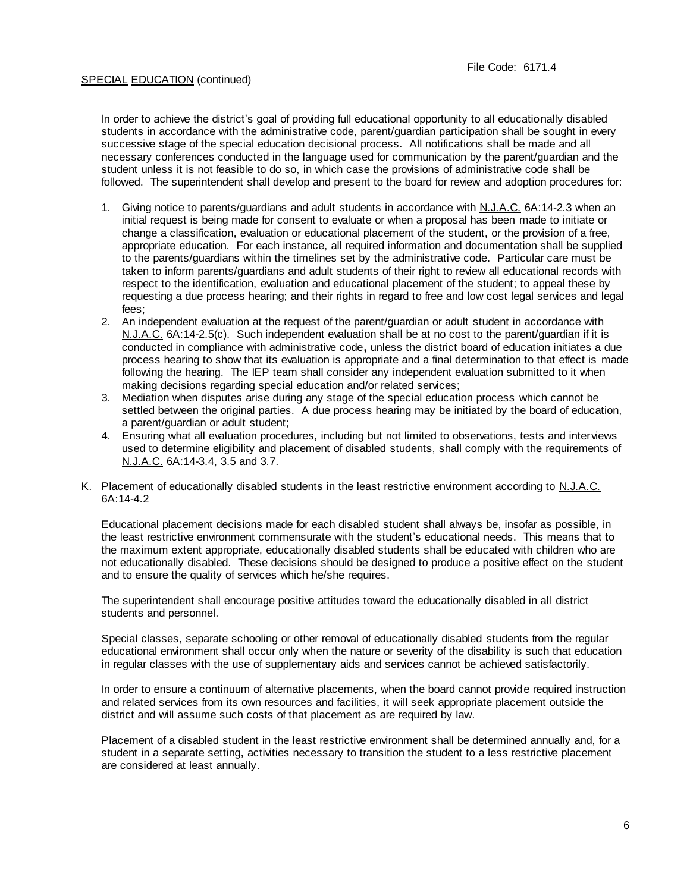In order to achieve the district's goal of providing full educational opportunity to all educationally disabled students in accordance with the administrative code, parent/guardian participation shall be sought in every successive stage of the special education decisional process. All notifications shall be made and all necessary conferences conducted in the language used for communication by the parent/guardian and the student unless it is not feasible to do so, in which case the provisions of administrative code shall be followed. The superintendent shall develop and present to the board for review and adoption procedures for:

- 1. Giving notice to parents/guardians and adult students in accordance with N.J.A.C. 6A:14-2.3 when an initial request is being made for consent to evaluate or when a proposal has been made to initiate or change a classification, evaluation or educational placement of the student, or the provision of a free, appropriate education. For each instance, all required information and documentation shall be supplied to the parents/guardians within the timelines set by the administrative code. Particular care must be taken to inform parents/guardians and adult students of their right to review all educational records with respect to the identification, evaluation and educational placement of the student; to appeal these by requesting a due process hearing; and their rights in regard to free and low cost legal services and legal fees;
- 2. An independent evaluation at the request of the parent/guardian or adult student in accordance with N.J.A.C. 6A:14-2.5(c).Such independent evaluation shall be at no cost to the parent/guardian if it is conducted in compliance with administrative code**,** unless the district board of education initiates a due process hearing to show that its evaluation is appropriate and a final determination to that effect is made following the hearing. The IEP team shall consider any independent evaluation submitted to it when making decisions regarding special education and/or related services;
- 3. Mediation when disputes arise during any stage of the special education process which cannot be settled between the original parties. A due process hearing may be initiated by the board of education, a parent/guardian or adult student;
- 4. Ensuring what all evaluation procedures, including but not limited to observations, tests and interviews used to determine eligibility and placement of disabled students, shall comply with the requirements of N.J.A.C. 6A:14-3.4, 3.5 and 3.7.
- K. Placement of educationally disabled students in the least restrictive environment according to N.J.A.C. 6A:14-4.2

Educational placement decisions made for each disabled student shall always be, insofar as possible, in the least restrictive environment commensurate with the student's educational needs. This means that to the maximum extent appropriate, educationally disabled students shall be educated with children who are not educationally disabled. These decisions should be designed to produce a positive effect on the student and to ensure the quality of services which he/she requires.

The superintendent shall encourage positive attitudes toward the educationally disabled in all district students and personnel.

Special classes, separate schooling or other removal of educationally disabled students from the regular educational environment shall occur only when the nature or severity of the disability is such that education in regular classes with the use of supplementary aids and services cannot be achieved satisfactorily.

In order to ensure a continuum of alternative placements, when the board cannot provide required instruction and related services from its own resources and facilities, it will seek appropriate placement outside the district and will assume such costs of that placement as are required by law.

Placement of a disabled student in the least restrictive environment shall be determined annually and, for a student in a separate setting, activities necessary to transition the student to a less restrictive placement are considered at least annually.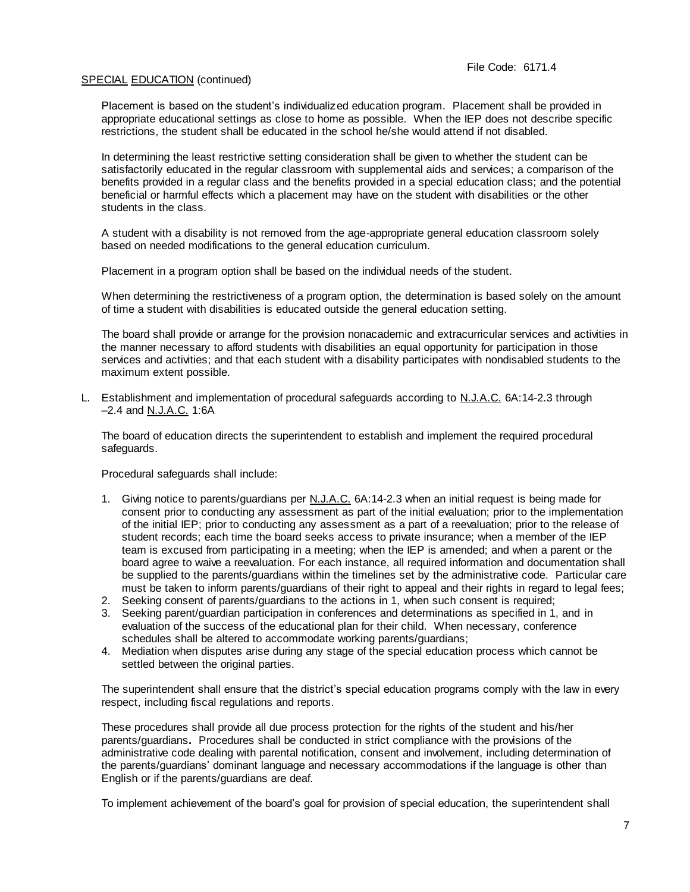Placement is based on the student's individualized education program. Placement shall be provided in appropriate educational settings as close to home as possible. When the IEP does not describe specific restrictions, the student shall be educated in the school he/she would attend if not disabled.

In determining the least restrictive setting consideration shall be given to whether the student can be satisfactorily educated in the regular classroom with supplemental aids and services; a comparison of the benefits provided in a regular class and the benefits provided in a special education class; and the potential beneficial or harmful effects which a placement may have on the student with disabilities or the other students in the class.

A student with a disability is not removed from the age-appropriate general education classroom solely based on needed modifications to the general education curriculum.

Placement in a program option shall be based on the individual needs of the student.

When determining the restrictiveness of a program option, the determination is based solely on the amount of time a student with disabilities is educated outside the general education setting.

The board shall provide or arrange for the provision nonacademic and extracurricular services and activities in the manner necessary to afford students with disabilities an equal opportunity for participation in those services and activities; and that each student with a disability participates with nondisabled students to the maximum extent possible.

L. Establishment and implementation of procedural safeguards according to N.J.A.C. 6A:14-2.3 through –2.4 and N.J.A.C. 1:6A

The board of education directs the superintendent to establish and implement the required procedural safeguards.

Procedural safeguards shall include:

- 1. Giving notice to parents/guardians per N.J.A.C. 6A:14-2.3 when an initial request is being made for consent prior to conducting any assessment as part of the initial evaluation; prior to the implementation of the initial IEP; prior to conducting any assessment as a part of a reevaluation; prior to the release of student records; each time the board seeks access to private insurance; when a member of the IEP team is excused from participating in a meeting; when the IEP is amended; and when a parent or the board agree to waive a reevaluation. For each instance, all required information and documentation shall be supplied to the parents/guardians within the timelines set by the administrative code. Particular care must be taken to inform parents/guardians of their right to appeal and their rights in regard to legal fees;
- 2. Seeking consent of parents/guardians to the actions in 1, when such consent is required;
- 3. Seeking parent/guardian participation in conferences and determinations as specified in 1, and in evaluation of the success of the educational plan for their child. When necessary, conference schedules shall be altered to accommodate working parents/guardians;
- 4. Mediation when disputes arise during any stage of the special education process which cannot be settled between the original parties.

The superintendent shall ensure that the district's special education programs comply with the law in every respect, including fiscal regulations and reports.

These procedures shall provide all due process protection for the rights of the student and his/her parents/guardians**.** Procedures shall be conducted in strict compliance with the provisions of the administrative code dealing with parental notification, consent and involvement, including determination of the parents/guardians' dominant language and necessary accommodations if the language is other than English or if the parents/guardians are deaf.

To implement achievement of the board's goal for provision of special education, the superintendent shall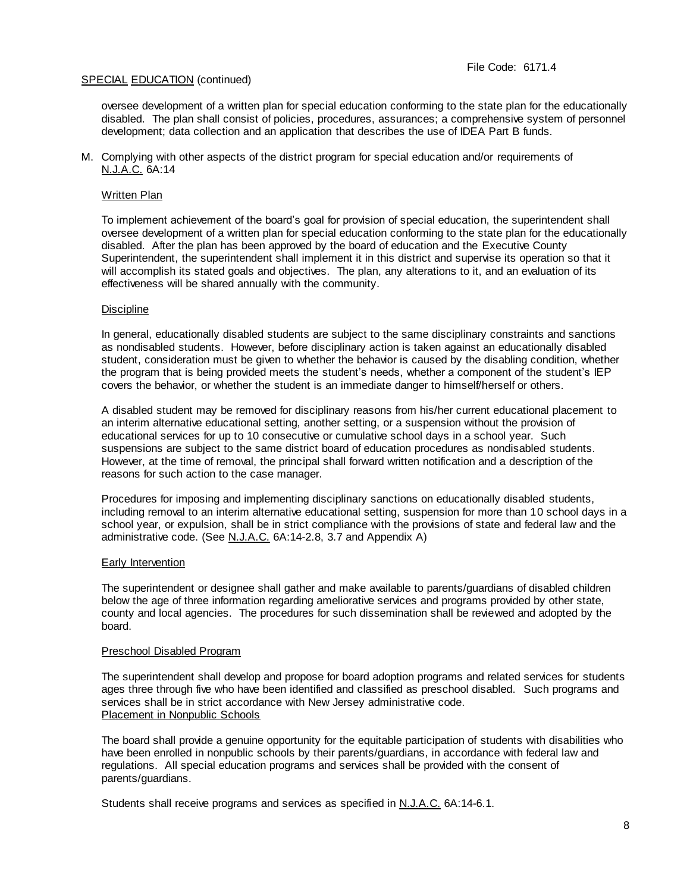oversee development of a written plan for special education conforming to the state plan for the educationally disabled. The plan shall consist of policies, procedures, assurances; a comprehensive system of personnel development; data collection and an application that describes the use of IDEA Part B funds.

M. Complying with other aspects of the district program for special education and/or requirements of N.J.A.C. 6A:14

## Written Plan

To implement achievement of the board's goal for provision of special education, the superintendent shall oversee development of a written plan for special education conforming to the state plan for the educationally disabled. After the plan has been approved by the board of education and the Executive County Superintendent, the superintendent shall implement it in this district and supervise its operation so that it will accomplish its stated goals and objectives. The plan, any alterations to it, and an evaluation of its effectiveness will be shared annually with the community.

## **Discipline**

In general, educationally disabled students are subject to the same disciplinary constraints and sanctions as nondisabled students. However, before disciplinary action is taken against an educationally disabled student, consideration must be given to whether the behavior is caused by the disabling condition, whether the program that is being provided meets the student's needs, whether a component of the student's IEP covers the behavior, or whether the student is an immediate danger to himself/herself or others.

A disabled student may be removed for disciplinary reasons from his/her current educational placement to an interim alternative educational setting, another setting, or a suspension without the provision of educational services for up to 10 consecutive or cumulative school days in a school year. Such suspensions are subject to the same district board of education procedures as nondisabled students. However, at the time of removal, the principal shall forward written notification and a description of the reasons for such action to the case manager.

Procedures for imposing and implementing disciplinary sanctions on educationally disabled students, including removal to an interim alternative educational setting, suspension for more than 10 school days in a school year, or expulsion, shall be in strict compliance with the provisions of state and federal law and the administrative code. (See N.J.A.C. 6A:14-2.8, 3.7 and Appendix A)

## Early Intervention

The superintendent or designee shall gather and make available to parents/guardians of disabled children below the age of three information regarding ameliorative services and programs provided by other state, county and local agencies. The procedures for such dissemination shall be reviewed and adopted by the board.

## Preschool Disabled Program

The superintendent shall develop and propose for board adoption programs and related services for students ages three through five who have been identified and classified as preschool disabled. Such programs and services shall be in strict accordance with New Jersey administrative code. Placement in Nonpublic Schools

The board shall provide a genuine opportunity for the equitable participation of students with disabilities who have been enrolled in nonpublic schools by their parents/guardians, in accordance with federal law and regulations. All special education programs and services shall be provided with the consent of parents/guardians.

Students shall receive programs and services as specified in N.J.A.C. 6A:14-6.1.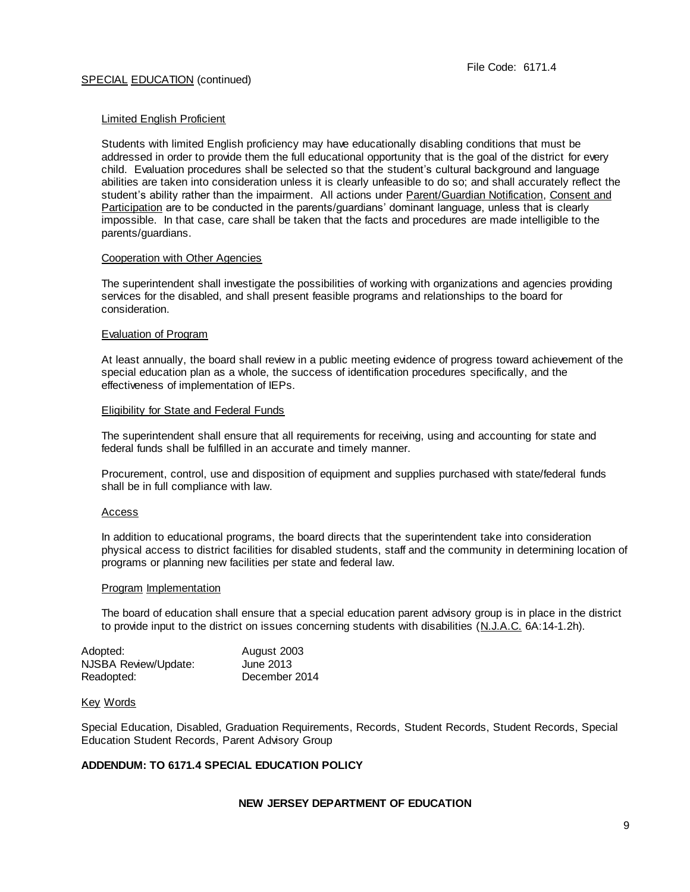#### Limited English Proficient

Students with limited English proficiency may have educationally disabling conditions that must be addressed in order to provide them the full educational opportunity that is the goal of the district for every child. Evaluation procedures shall be selected so that the student's cultural background and language abilities are taken into consideration unless it is clearly unfeasible to do so; and shall accurately reflect the student's ability rather than the impairment. All actions under Parent/Guardian Notification, Consent and Participation are to be conducted in the parents/guardians' dominant language, unless that is clearly impossible. In that case, care shall be taken that the facts and procedures are made intelligible to the parents/guardians.

### Cooperation with Other Agencies

The superintendent shall investigate the possibilities of working with organizations and agencies providing services for the disabled, and shall present feasible programs and relationships to the board for consideration.

### Evaluation of Program

At least annually, the board shall review in a public meeting evidence of progress toward achievement of the special education plan as a whole, the success of identification procedures specifically, and the effectiveness of implementation of IEPs.

### Eligibility for State and Federal Funds

The superintendent shall ensure that all requirements for receiving, using and accounting for state and federal funds shall be fulfilled in an accurate and timely manner.

Procurement, control, use and disposition of equipment and supplies purchased with state/federal funds shall be in full compliance with law.

#### Access

In addition to educational programs, the board directs that the superintendent take into consideration physical access to district facilities for disabled students, staff and the community in determining location of programs or planning new facilities per state and federal law.

## Program Implementation

The board of education shall ensure that a special education parent advisory group is in place in the district to provide input to the district on issues concerning students with disabilities (N.J.A.C. 6A:14-1.2h).

| Adopted:             | August 2003   |
|----------------------|---------------|
| NJSBA Review/Update: | June 2013     |
| Readopted:           | December 2014 |

#### Key Words

Special Education, Disabled, Graduation Requirements, Records, Student Records, Student Records, Special Education Student Records, Parent Advisory Group

## **ADDENDUM: TO 6171.4 SPECIAL EDUCATION POLICY**

## **NEW JERSEY DEPARTMENT OF EDUCATION**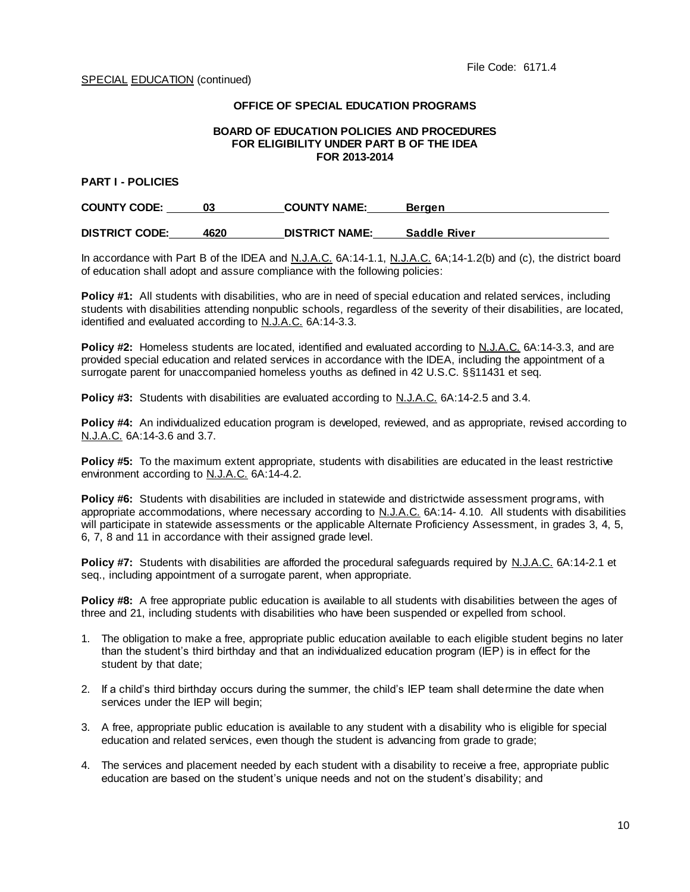# **OFFICE OF SPECIAL EDUCATION PROGRAMS**

#### **BOARD OF EDUCATION POLICIES AND PROCEDURES FOR ELIGIBILITY UNDER PART B OF THE IDEA FOR 2013-2014**

## **PART I - POLICIES**

| <b>COUNTY CODE:</b>   |      | <b>COUNTY NAME:</b>   | Bergen              |
|-----------------------|------|-----------------------|---------------------|
| <b>DISTRICT CODE:</b> | 4620 | <b>DISTRICT NAME:</b> | <b>Saddle River</b> |

In accordance with Part B of the IDEA and N.J.A.C. 6A:14-1.1, N.J.A.C. 6A;14-1.2(b) and (c), the district board of education shall adopt and assure compliance with the following policies:

**Policy #1:** All students with disabilities, who are in need of special education and related services, including students with disabilities attending nonpublic schools, regardless of the severity of their disabilities, are located, identified and evaluated according to N.J.A.C. 6A:14-3.3.

Policy #2: Homeless students are located, identified and evaluated according to N.J.A.C. 6A:14-3.3, and are provided special education and related services in accordance with the IDEA, including the appointment of a surrogate parent for unaccompanied homeless youths as defined in 42 U.S.C. §§11431 et seq.

**Policy #3:** Students with disabilities are evaluated according to N.J.A.C. 6A:14-2.5 and 3.4.

**Policy #4:** An individualized education program is developed, reviewed, and as appropriate, revised according to N.J.A.C. 6A:14-3.6 and 3.7.

**Policy #5:** To the maximum extent appropriate, students with disabilities are educated in the least restrictive environment according to N.J.A.C. 6A:14-4.2.

**Policy #6:** Students with disabilities are included in statewide and districtwide assessment programs, with appropriate accommodations, where necessary according to N.J.A.C. 6A:14- 4.10. All students with disabilities will participate in statewide assessments or the applicable Alternate Proficiency Assessment, in grades 3, 4, 5, 6, 7, 8 and 11 in accordance with their assigned grade level.

**Policy #7:** Students with disabilities are afforded the procedural safeguards required by N.J.A.C. 6A:14-2.1 et seq., including appointment of a surrogate parent, when appropriate.

**Policy #8:** A free appropriate public education is available to all students with disabilities between the ages of three and 21, including students with disabilities who have been suspended or expelled from school.

- 1. The obligation to make a free, appropriate public education available to each eligible student begins no later than the student's third birthday and that an individualized education program (IEP) is in effect for the student by that date;
- 2. If a child's third birthday occurs during the summer, the child's IEP team shall determine the date when services under the IEP will begin:
- 3. A free, appropriate public education is available to any student with a disability who is eligible for special education and related services, even though the student is advancing from grade to grade;
- 4. The services and placement needed by each student with a disability to receive a free, appropriate public education are based on the student's unique needs and not on the student's disability; and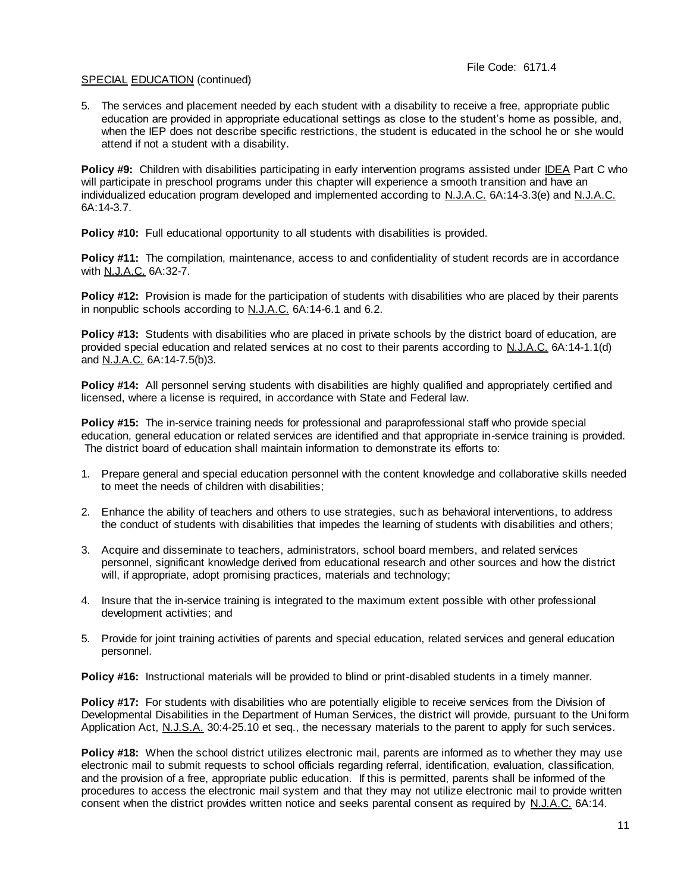5. The services and placement needed by each student with a disability to receive a free, appropriate public education are provided in appropriate educational settings as close to the student's home as possible, and, when the IEP does not describe specific restrictions, the student is educated in the school he or she would attend if not a student with a disability.

**Policy #9:** Children with disabilities participating in early intervention programs assisted under IDEA Part C who will participate in preschool programs under this chapter will experience a smooth transition and have an individualized education program developed and implemented according to N.J.A.C. 6A:14-3.3(e) and N.J.A.C. 6A:14-3.7.

**Policy #10:** Full educational opportunity to all students with disabilities is provided.

**Policy #11:** The compilation, maintenance, access to and confidentiality of student records are in accordance with N.J.A.C. 6A:32-7.

**Policy #12:** Provision is made for the participation of students with disabilities who are placed by their parents in nonpublic schools according to N.J.A.C. 6A:14-6.1 and 6.2.

**Policy #13:** Students with disabilities who are placed in private schools by the district board of education, are provided special education and related services at no cost to their parents according to N.J.A.C. 6A:14-1.1(d) and N.J.A.C. 6A:14-7.5(b)3.

**Policy #14:** All personnel serving students with disabilities are highly qualified and appropriately certified and licensed, where a license is required, in accordance with State and Federal law.

**Policy #15:** The in-service training needs for professional and paraprofessional staff who provide special education, general education or related services are identified and that appropriate in-service training is provided. The district board of education shall maintain information to demonstrate its efforts to:

- 1. Prepare general and special education personnel with the content knowledge and collaborative skills needed to meet the needs of children with disabilities;
- 2. Enhance the ability of teachers and others to use strategies, such as behavioral interventions, to address the conduct of students with disabilities that impedes the learning of students with disabilities and others;
- 3. Acquire and disseminate to teachers, administrators, school board members, and related services personnel, significant knowledge derived from educational research and other sources and how the district will, if appropriate, adopt promising practices, materials and technology;
- 4. Insure that the in-service training is integrated to the maximum extent possible with other professional development activities; and
- 5. Provide for joint training activities of parents and special education, related services and general education personnel.

**Policy #16:** Instructional materials will be provided to blind or print-disabled students in a timely manner.

**Policy #17:** For students with disabilities who are potentially eligible to receive services from the Division of Developmental Disabilities in the Department of Human Services, the district will provide, pursuant to the Uniform Application Act, N.J.S.A. 30:4-25.10 et seq., the necessary materials to the parent to apply for such services.

**Policy #18:** When the school district utilizes electronic mail, parents are informed as to whether they may use electronic mail to submit requests to school officials regarding referral, identification, evaluation, classification, and the provision of a free, appropriate public education. If this is permitted, parents shall be informed of the procedures to access the electronic mail system and that they may not utilize electronic mail to provide written consent when the district provides written notice and seeks parental consent as required by N.J.A.C. 6A:14.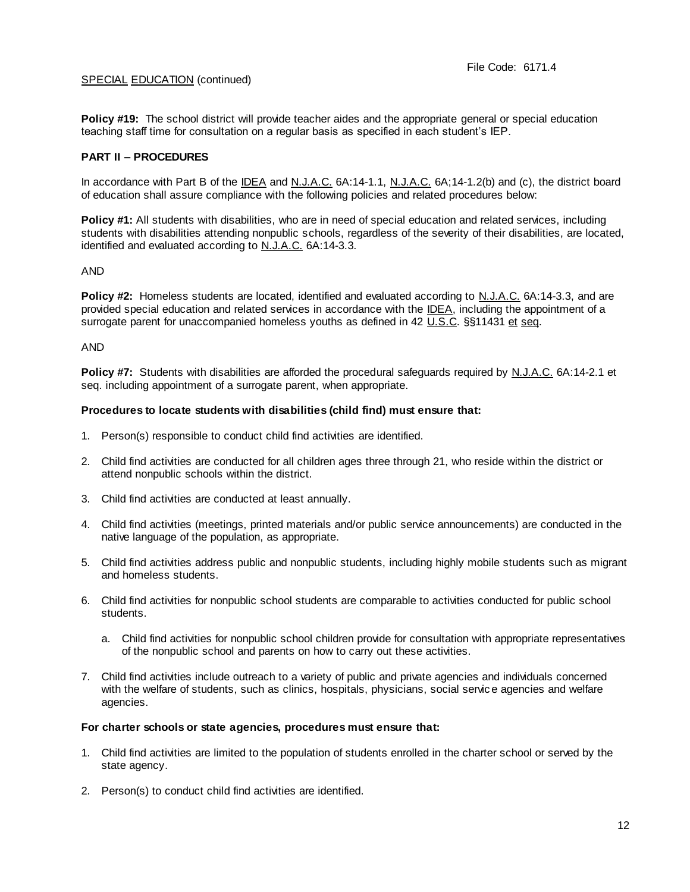**Policy #19:** The school district will provide teacher aides and the appropriate general or special education teaching staff time for consultation on a regular basis as specified in each student's IEP.

# **PART II – PROCEDURES**

In accordance with Part B of the IDEA and N.J.A.C. 6A:14-1.1, N.J.A.C. 6A;14-1.2(b) and (c), the district board of education shall assure compliance with the following policies and related procedures below:

**Policy #1:** All students with disabilities, who are in need of special education and related services, including students with disabilities attending nonpublic schools, regardless of the severity of their disabilities, are located, identified and evaluated according to N.J.A.C. 6A:14-3.3.

## AND

**Policy #2:** Homeless students are located, identified and evaluated according to N.J.A.C. 6A:14-3.3, and are provided special education and related services in accordance with the IDEA, including the appointment of a surrogate parent for unaccompanied homeless youths as defined in 42 U.S.C. §§11431 et seq.

### AND

**Policy #7:** Students with disabilities are afforded the procedural safeguards required by N.J.A.C. 6A:14-2.1 et seq. including appointment of a surrogate parent, when appropriate.

### **Procedures to locate students with disabilities (child find) must ensure that:**

- 1. Person(s) responsible to conduct child find activities are identified.
- 2. Child find activities are conducted for all children ages three through 21, who reside within the district or attend nonpublic schools within the district.
- 3. Child find activities are conducted at least annually.
- 4. Child find activities (meetings, printed materials and/or public service announcements) are conducted in the native language of the population, as appropriate.
- 5. Child find activities address public and nonpublic students, including highly mobile students such as migrant and homeless students.
- 6. Child find activities for nonpublic school students are comparable to activities conducted for public school students.
	- a. Child find activities for nonpublic school children provide for consultation with appropriate representatives of the nonpublic school and parents on how to carry out these activities.
- 7. Child find activities include outreach to a variety of public and private agencies and individuals concerned with the welfare of students, such as clinics, hospitals, physicians, social servic e agencies and welfare agencies.

## **For charter schools or state agencies, procedures must ensure that:**

- 1. Child find activities are limited to the population of students enrolled in the charter school or served by the state agency.
- 2. Person(s) to conduct child find activities are identified.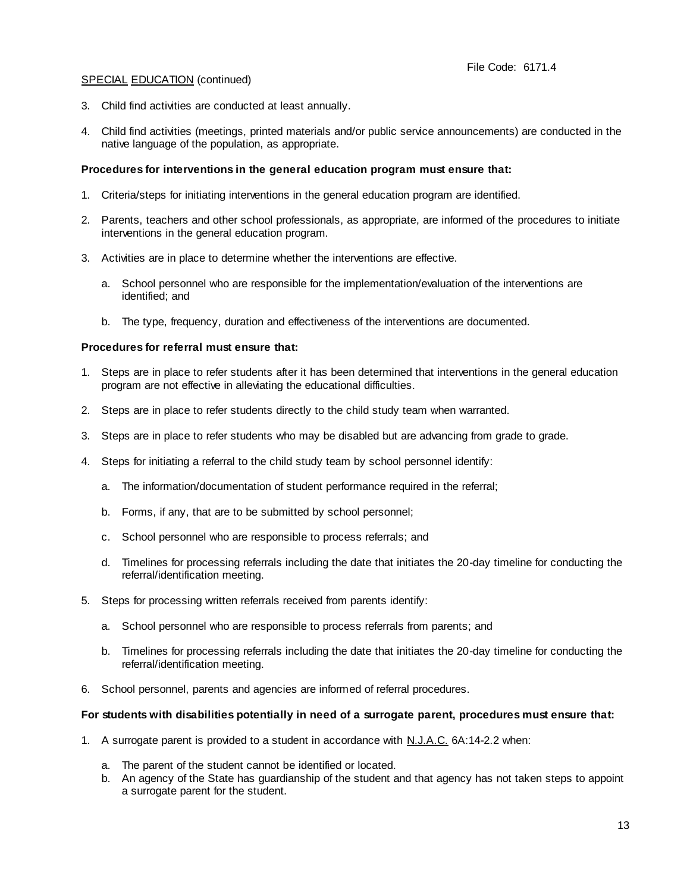- 3. Child find activities are conducted at least annually.
- 4. Child find activities (meetings, printed materials and/or public service announcements) are conducted in the native language of the population, as appropriate.

## **Procedures for interventions in the general education program must ensure that:**

- 1. Criteria/steps for initiating interventions in the general education program are identified.
- 2. Parents, teachers and other school professionals, as appropriate, are informed of the procedures to initiate interventions in the general education program.
- 3. Activities are in place to determine whether the interventions are effective.
	- a. School personnel who are responsible for the implementation/evaluation of the interventions are identified; and
	- b. The type, frequency, duration and effectiveness of the interventions are documented.

## **Procedures for referral must ensure that:**

- 1. Steps are in place to refer students after it has been determined that interventions in the general education program are not effective in alleviating the educational difficulties.
- 2. Steps are in place to refer students directly to the child study team when warranted.
- 3. Steps are in place to refer students who may be disabled but are advancing from grade to grade.
- 4. Steps for initiating a referral to the child study team by school personnel identify:
	- a. The information/documentation of student performance required in the referral;
	- b. Forms, if any, that are to be submitted by school personnel;
	- c. School personnel who are responsible to process referrals; and
	- d. Timelines for processing referrals including the date that initiates the 20-day timeline for conducting the referral/identification meeting.
- 5. Steps for processing written referrals received from parents identify:
	- a. School personnel who are responsible to process referrals from parents; and
	- b. Timelines for processing referrals including the date that initiates the 20-day timeline for conducting the referral/identification meeting.
- 6. School personnel, parents and agencies are informed of referral procedures.

#### **For students with disabilities potentially in need of a surrogate parent, procedures must ensure that:**

- 1. A surrogate parent is provided to a student in accordance with N.J.A.C. 6A:14-2.2 when:
	- a. The parent of the student cannot be identified or located.
	- b. An agency of the State has guardianship of the student and that agency has not taken steps to appoint a surrogate parent for the student.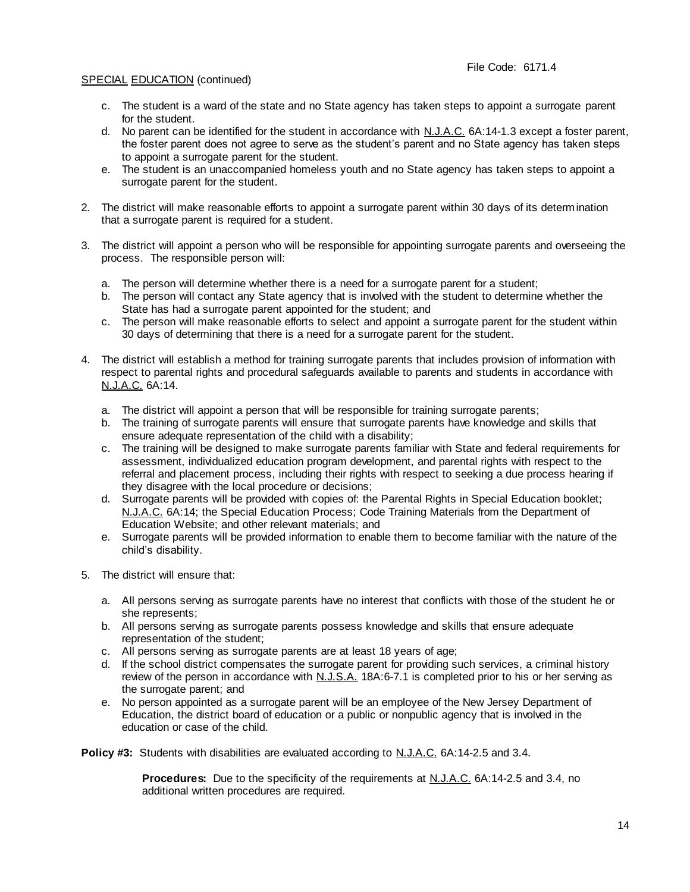- c. The student is a ward of the state and no State agency has taken steps to appoint a surrogate parent for the student.
- d. No parent can be identified for the student in accordance with N.J.A.C. 6A:14-1.3 except a foster parent, the foster parent does not agree to serve as the student's parent and no State agency has taken steps to appoint a surrogate parent for the student.
- e. The student is an unaccompanied homeless youth and no State agency has taken steps to appoint a surrogate parent for the student.
- 2. The district will make reasonable efforts to appoint a surrogate parent within 30 days of its determination that a surrogate parent is required for a student.
- 3. The district will appoint a person who will be responsible for appointing surrogate parents and overseeing the process. The responsible person will:
	- a. The person will determine whether there is a need for a surrogate parent for a student;
	- b. The person will contact any State agency that is involved with the student to determine whether the State has had a surrogate parent appointed for the student; and
	- c. The person will make reasonable efforts to select and appoint a surrogate parent for the student within 30 days of determining that there is a need for a surrogate parent for the student.
- 4. The district will establish a method for training surrogate parents that includes provision of information with respect to parental rights and procedural safeguards available to parents and students in accordance with N.J.A.C. 6A:14.
	- a. The district will appoint a person that will be responsible for training surrogate parents;
	- b. The training of surrogate parents will ensure that surrogate parents have knowledge and skills that ensure adequate representation of the child with a disability;
	- c. The training will be designed to make surrogate parents familiar with State and federal requirements for assessment, individualized education program development, and parental rights with respect to the referral and placement process, including their rights with respect to seeking a due process hearing if they disagree with the local procedure or decisions;
	- d. Surrogate parents will be provided with copies of: the Parental Rights in Special Education booklet; N.J.A.C. 6A:14; the Special Education Process; Code Training Materials from the Department of Education Website; and other relevant materials; and
	- e. Surrogate parents will be provided information to enable them to become familiar with the nature of the child's disability.
- 5. The district will ensure that:
	- a. All persons serving as surrogate parents have no interest that conflicts with those of the student he or she represents;
	- b. All persons serving as surrogate parents possess knowledge and skills that ensure adequate representation of the student;
	- c. All persons serving as surrogate parents are at least 18 years of age;
	- d. If the school district compensates the surrogate parent for providing such services, a criminal history review of the person in accordance with N.J.S.A. 18A:6-7.1 is completed prior to his or her serving as the surrogate parent; and
	- e. No person appointed as a surrogate parent will be an employee of the New Jersey Department of Education, the district board of education or a public or nonpublic agency that is involved in the education or case of the child.

**Policy #3:** Students with disabilities are evaluated according to N.J.A.C. 6A:14-2.5 and 3.4.

**Procedures:** Due to the specificity of the requirements at N.J.A.C. 6A:14-2.5 and 3.4, no additional written procedures are required.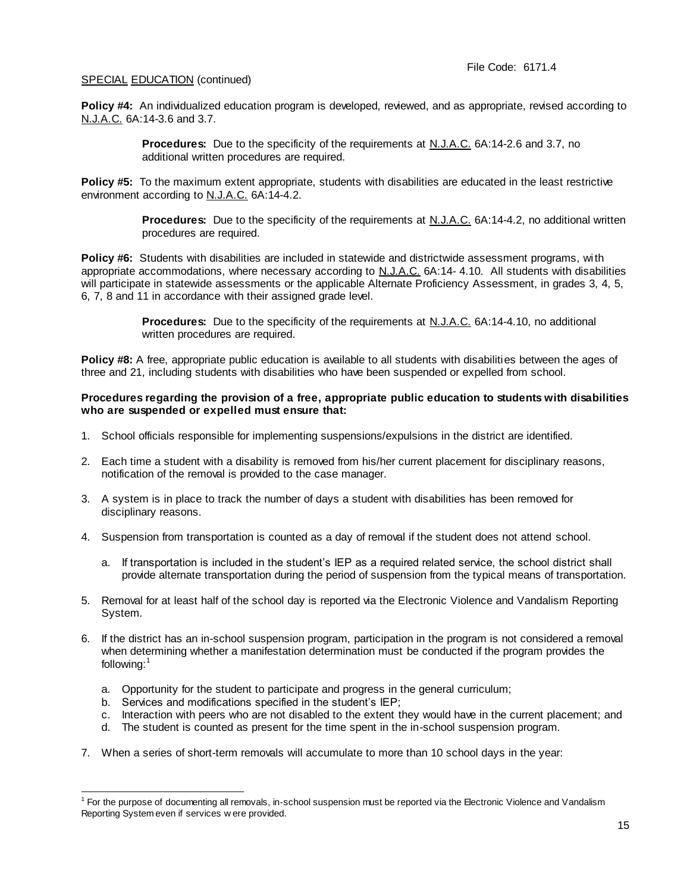**Policy #4:** An individualized education program is developed, reviewed, and as appropriate, revised according to N.J.A.C. 6A:14-3.6 and 3.7.

> **Procedures:** Due to the specificity of the requirements at N.J.A.C. 6A:14-2.6 and 3.7, no additional written procedures are required.

**Policy #5:** To the maximum extent appropriate, students with disabilities are educated in the least restrictive environment according to N.J.A.C. 6A:14-4.2.

> **Procedures:** Due to the specificity of the requirements at N.J.A.C. 6A:14-4.2, no additional written procedures are required.

**Policy #6:** Students with disabilities are included in statewide and districtwide assessment programs, with appropriate accommodations, where necessary according to N.J.A.C. 6A:14- 4.10. All students with disabilities will participate in statewide assessments or the applicable Alternate Proficiency Assessment, in grades 3, 4, 5, 6, 7, 8 and 11 in accordance with their assigned grade level.

> **Procedures:** Due to the specificity of the requirements at N.J.A.C. 6A:14-4.10, no additional written procedures are required.

**Policy #8:** A free, appropriate public education is available to all students with disabilities between the ages of three and 21, including students with disabilities who have been suspended or expelled from school.

#### **Procedures regarding the provision of a free, appropriate public education to students with disabilities who are suspended or expelled must ensure that:**

- 1. School officials responsible for implementing suspensions/expulsions in the district are identified.
- 2. Each time a student with a disability is removed from his/her current placement for disciplinary reasons, notification of the removal is provided to the case manager.
- 3. A system is in place to track the number of days a student with disabilities has been removed for disciplinary reasons.
- 4. Suspension from transportation is counted as a day of removal if the student does not attend school.
	- a. If transportation is included in the student's IEP as a required related service, the school district shall provide alternate transportation during the period of suspension from the typical means of transportation.
- 5. Removal for at least half of the school day is reported via the Electronic Violence and Vandalism Reporting System.
- 6. If the district has an in-school suspension program, participation in the program is not considered a removal when determining whether a manifestation determination must be conducted if the program provides the following:<sup>1</sup>
	- a. Opportunity for the student to participate and progress in the general curriculum;
	- b. Services and modifications specified in the student's IEP;

L,

- c. Interaction with peers who are not disabled to the extent they would have in the current placement; and
- d. The student is counted as present for the time spent in the in-school suspension program.
- 7. When a series of short-term removals will accumulate to more than 10 school days in the year:

<sup>&</sup>lt;sup>1</sup> For the purpose of documenting all removals, in-school suspension must be reported via the Electronic Violence and Vandalism Reporting System even if services w ere provided.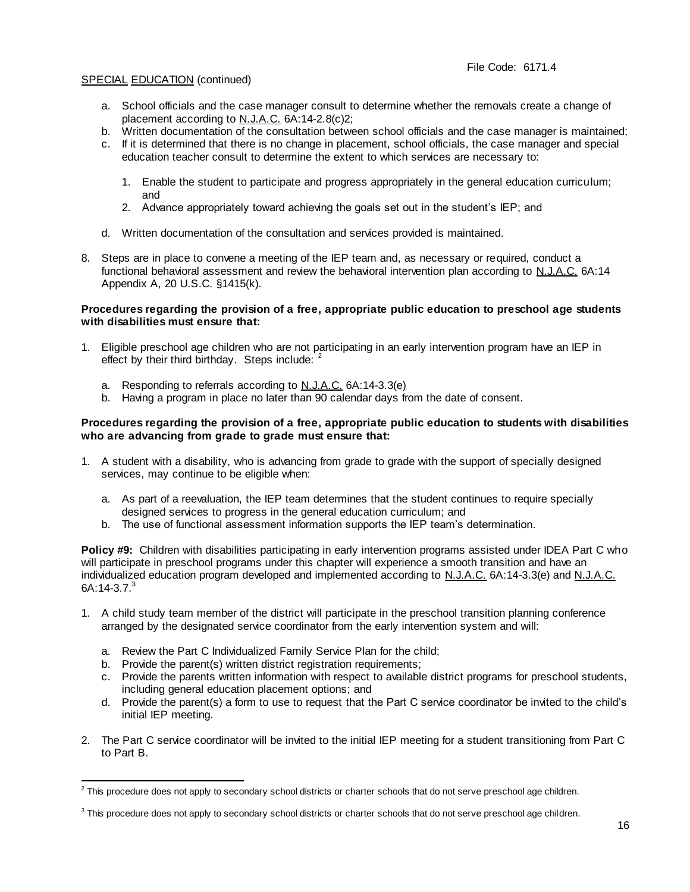- a. School officials and the case manager consult to determine whether the removals create a change of placement according to N.J.A.C. 6A:14-2.8(c)2;
- b. Written documentation of the consultation between school officials and the case manager is maintained;
- c. If it is determined that there is no change in placement, school officials, the case manager and special education teacher consult to determine the extent to which services are necessary to:
	- 1. Enable the student to participate and progress appropriately in the general education curriculum; and
	- 2. Advance appropriately toward achieving the goals set out in the student's IEP; and
- d. Written documentation of the consultation and services provided is maintained.
- 8. Steps are in place to convene a meeting of the IEP team and, as necessary or required, conduct a functional behavioral assessment and review the behavioral intervention plan according to N.J.A.C. 6A:14 Appendix A, 20 U.S.C. §1415(k).

## **Procedures regarding the provision of a free, appropriate public education to preschool age students with disabilities must ensure that:**

- 1. Eligible preschool age children who are not participating in an early intervention program have an IEP in effect by their third birthday. Steps include:  $2^2$ 
	- a. Responding to referrals according to N.J.A.C. 6A:14-3.3(e)
	- b. Having a program in place no later than 90 calendar days from the date of consent.

## **Procedures regarding the provision of a free, appropriate public education to students with disabilities who are advancing from grade to grade must ensure that:**

- 1. A student with a disability, who is advancing from grade to grade with the support of specially designed services, may continue to be eligible when:
	- a. As part of a reevaluation, the IEP team determines that the student continues to require specially designed services to progress in the general education curriculum; and
	- b. The use of functional assessment information supports the IEP team's determination.

**Policy #9:** Children with disabilities participating in early intervention programs assisted under IDEA Part C who will participate in preschool programs under this chapter will experience a smooth transition and have an individualized education program developed and implemented according to N.J.A.C. 6A:14-3.3(e) and N.J.A.C. 6A:14-3.7. $3$ 

- 1. A child study team member of the district will participate in the preschool transition planning conference arranged by the designated service coordinator from the early intervention system and will:
	- a. Review the Part C Individualized Family Service Plan for the child;
	- b. Provide the parent(s) written district registration requirements;
	- c. Provide the parents written information with respect to available district programs for preschool students, including general education placement options; and
	- d. Provide the parent(s) a form to use to request that the Part C service coordinator be invited to the child's initial IEP meeting.
- 2. The Part C service coordinator will be invited to the initial IEP meeting for a student transitioning from Part C to Part B.

L, <sup>2</sup> This procedure does not apply to secondary school districts or charter schools that do not serve preschool age children.

<sup>&</sup>lt;sup>3</sup> This procedure does not apply to secondary school districts or charter schools that do not serve preschool age children.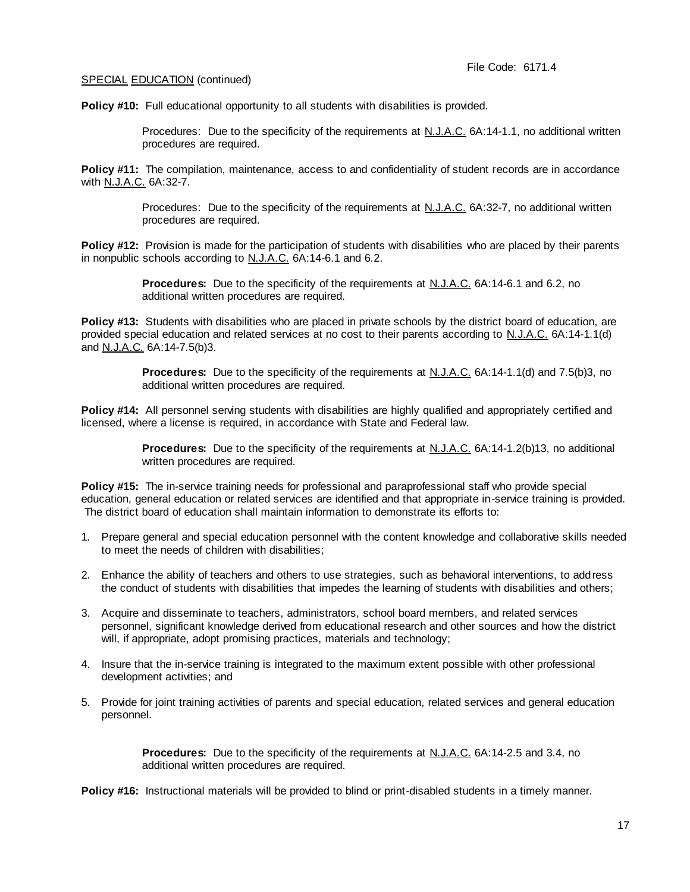Policy #10: Full educational opportunity to all students with disabilities is provided.

Procedures: Due to the specificity of the requirements at N.J.A.C. 6A:14-1.1, no additional written procedures are required.

**Policy #11:** The compilation, maintenance, access to and confidentiality of student records are in accordance with N.J.A.C. 6A:32-7.

> Procedures: Due to the specificity of the requirements at N.J.A.C. 6A:32-7, no additional written procedures are required.

**Policy #12:** Provision is made for the participation of students with disabilities who are placed by their parents in nonpublic schools according to N.J.A.C. 6A:14-6.1 and 6.2.

> **Procedures:** Due to the specificity of the requirements at N.J.A.C. 6A:14-6.1 and 6.2, no additional written procedures are required.

**Policy #13:** Students with disabilities who are placed in private schools by the district board of education, are provided special education and related services at no cost to their parents according to N.J.A.C. 6A:14-1.1(d) and N.J.A.C. 6A:14-7.5(b)3.

> **Procedures:** Due to the specificity of the requirements at N.J.A.C. 6A:14-1.1(d) and 7.5(b)3, no additional written procedures are required.

**Policy #14:** All personnel serving students with disabilities are highly qualified and appropriately certified and licensed, where a license is required, in accordance with State and Federal law.

> **Procedures:** Due to the specificity of the requirements at N.J.A.C. 6A:14-1.2(b)13, no additional written procedures are required.

**Policy #15:** The in-service training needs for professional and paraprofessional staff who provide special education, general education or related services are identified and that appropriate in-service training is provided. The district board of education shall maintain information to demonstrate its efforts to:

- 1. Prepare general and special education personnel with the content knowledge and collaborative skills needed to meet the needs of children with disabilities;
- 2. Enhance the ability of teachers and others to use strategies, such as behavioral interventions, to address the conduct of students with disabilities that impedes the learning of students with disabilities and others;
- 3. Acquire and disseminate to teachers, administrators, school board members, and related services personnel, significant knowledge derived from educational research and other sources and how the district will, if appropriate, adopt promising practices, materials and technology;
- 4. Insure that the in-service training is integrated to the maximum extent possible with other professional development activities; and
- 5. Provide for joint training activities of parents and special education, related services and general education personnel.

**Procedures:** Due to the specificity of the requirements at N.J.A.C. 6A:14-2.5 and 3.4, no additional written procedures are required.

**Policy #16:** Instructional materials will be provided to blind or print-disabled students in a timely manner.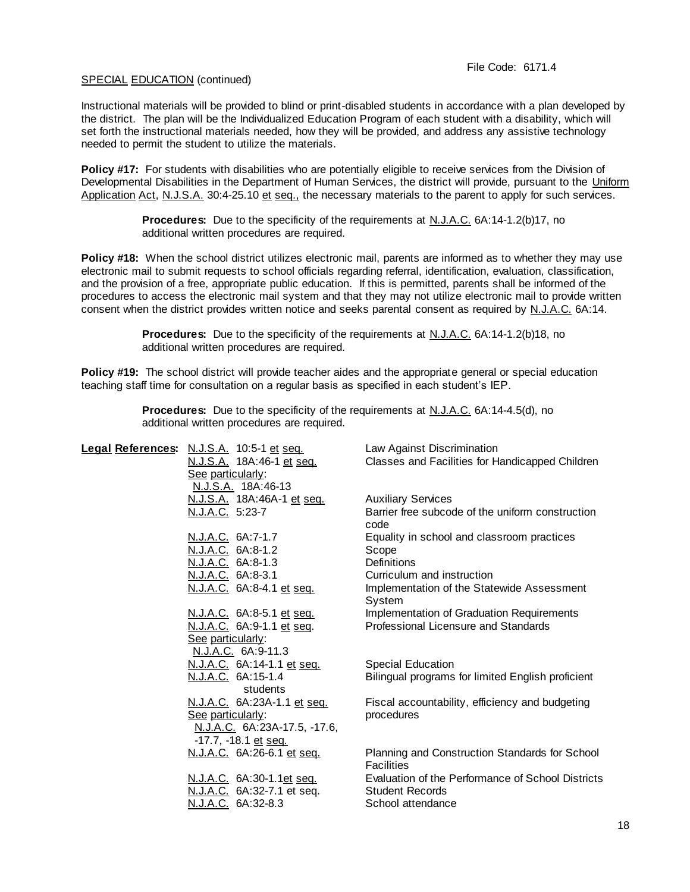Instructional materials will be provided to blind or print-disabled students in accordance with a plan developed by the district. The plan will be the Individualized Education Program of each student with a disability, which will set forth the instructional materials needed, how they will be provided, and address any assistive technology needed to permit the student to utilize the materials.

**Policy #17:** For students with disabilities who are potentially eligible to receive services from the Division of Developmental Disabilities in the Department of Human Services, the district will provide, pursuant to the Uniform Application Act, N.J.S.A. 30:4-25.10 et seq., the necessary materials to the parent to apply for such services.

> **Procedures:** Due to the specificity of the requirements at N.J.A.C. 6A:14-1.2(b)17, no additional written procedures are required.

**Policy #18:** When the school district utilizes electronic mail, parents are informed as to whether they may use electronic mail to submit requests to school officials regarding referral, identification, evaluation, classification, and the provision of a free, appropriate public education. If this is permitted, parents shall be informed of the procedures to access the electronic mail system and that they may not utilize electronic mail to provide written consent when the district provides written notice and seeks parental consent as required by N.J.A.C. 6A:14.

> **Procedures:** Due to the specificity of the requirements at N.J.A.C. 6A:14-1.2(b)18, no additional written procedures are required.

**Policy #19:** The school district will provide teacher aides and the appropriate general or special education teaching staff time for consultation on a regular basis as specified in each student's IEP.

| Legal References: N.J.S.A. 10:5-1 et seq.<br>N.J.S.A. 18A:46-1 et seq.<br>See particularly:              | Law Against Discrimination<br>Classes and Facilities for Handicapped Children                    |
|----------------------------------------------------------------------------------------------------------|--------------------------------------------------------------------------------------------------|
| N.J.S.A. 18A:46-13<br><u>N.J.S.A.</u> 18A:46A-1 et seq.<br>N.J.A.C. 5:23-7                               | <b>Auxiliary Services</b><br>Barrier free subcode of the uniform construction                    |
| N.J.A.C. 6A:7-1.7<br>N.J.A.C. 6A:8-1.2                                                                   | code<br>Equality in school and classroom practices<br>Scope                                      |
| N.J.A.C. 6A:8-1.3<br>N.J.A.C. 6A:8-3.1<br>N.J.A.C. 6A:8-4.1 et seq.                                      | <b>Definitions</b><br>Curriculum and instruction<br>Implementation of the Statewide Assessment   |
| N.J.A.C. 6A:8-5.1 et seq.<br>N.J.A.C. 6A:9-1.1 et seq.                                                   | System<br>Implementation of Graduation Requirements<br>Professional Licensure and Standards      |
| See particularly:<br>N.J.A.C. 6A:9-11.3<br>N.J.A.C. 6A:14-1.1 et seq.                                    | <b>Special Education</b>                                                                         |
| N.J.A.C. 6A:15-1.4<br>students                                                                           | Bilingual programs for limited English proficient                                                |
| N.J.A.C. 6A:23A-1.1 et seq.<br>See particularly:<br>N.J.A.C. 6A:23A-17.5, -17.6,<br>-17.7, -18.1 et seq. | Fiscal accountability, efficiency and budgeting<br>procedures                                    |
| N.J.A.C. 6A:26-6.1 et seq.                                                                               | Planning and Construction Standards for School<br><b>Facilities</b>                              |
| N.J.A.C. 6A:30-1.1et seq.<br>N.J.A.C. 6A:32-7.1 et seq.<br>N.J.A.C. 6A:32-8.3                            | Evaluation of the Performance of School Districts<br><b>Student Records</b><br>School attendance |
|                                                                                                          |                                                                                                  |

**Procedures:** Due to the specificity of the requirements at N.J.A.C. 6A:14-4.5(d), no additional written procedures are required.